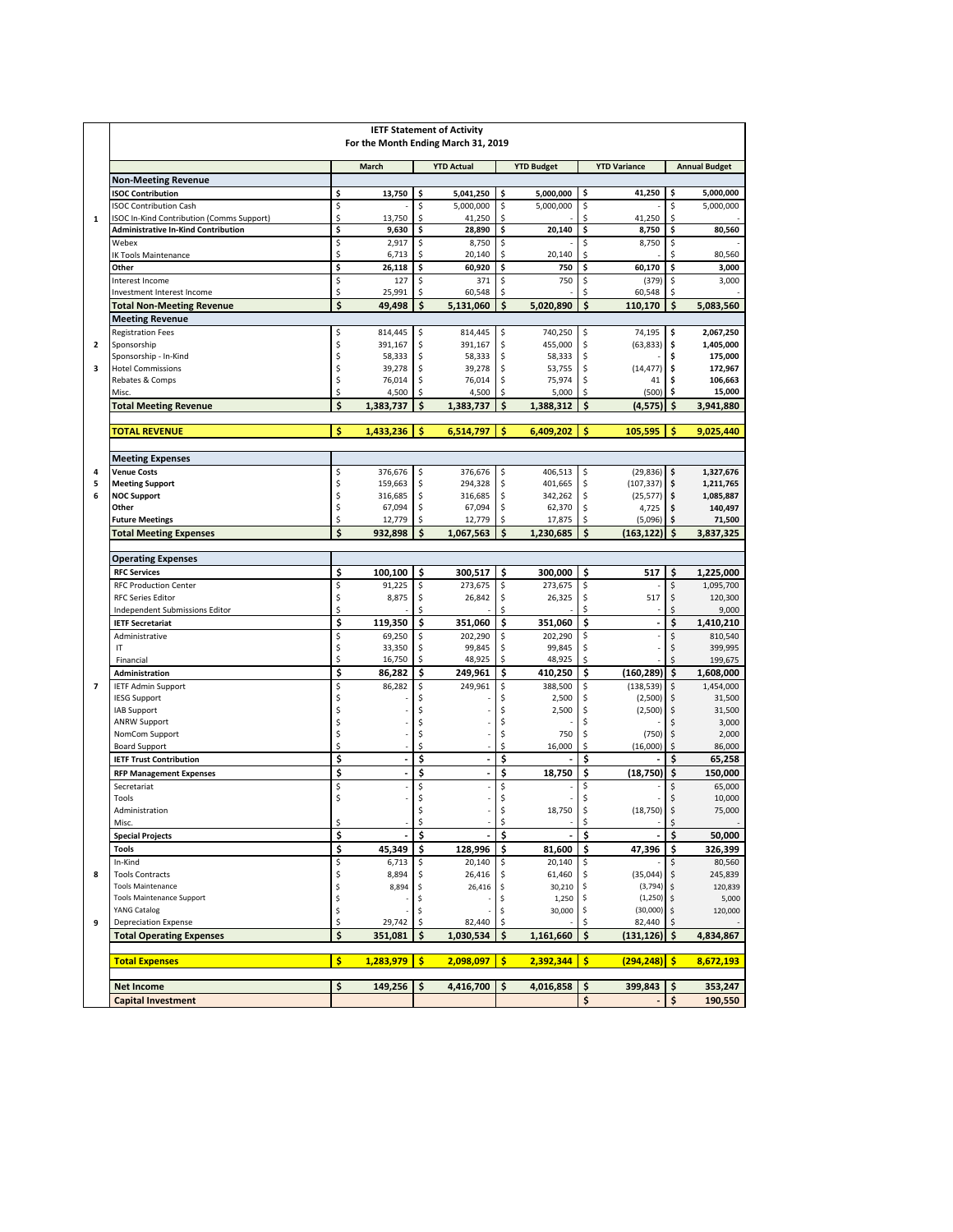|                | <b>IETF Statement of Activity</b><br>For the Month Ending March 31, 2019 |          |                                                      |          |                        |          |                    |          |                         |          |                        |
|----------------|--------------------------------------------------------------------------|----------|------------------------------------------------------|----------|------------------------|----------|--------------------|----------|-------------------------|----------|------------------------|
|                |                                                                          |          | March                                                |          | <b>YTD Actual</b>      |          | <b>YTD Budget</b>  |          | <b>YTD Variance</b>     |          | <b>Annual Budget</b>   |
|                | <b>Non-Meeting Revenue</b>                                               |          |                                                      |          |                        |          |                    |          |                         |          |                        |
|                | <b>ISOC Contribution</b><br><b>ISOC Contribution Cash</b>                | \$<br>\$ | 13,750                                               | \$<br>\$ | 5,041,250<br>5,000,000 | \$<br>\$ | 5,000,000          | \$<br>\$ | 41,250                  | \$<br>\$ | 5.000.000              |
| $\mathbf{1}$   | ISOC In-Kind Contribution (Comms Support)                                | \$       | 13,750                                               | \$       | 41,250                 | \$       | 5,000,000          | \$       | 41,250                  | \$       | 5,000,000              |
|                | <b>Administrative In-Kind Contribution</b>                               | \$       | 9,630                                                | \$       | 28,890                 | \$       | 20,140             | \$       | 8,750                   | \$       | 80,560                 |
|                | Webex                                                                    | \$       | 2,917                                                | \$       | 8,750                  | \$       |                    | \$       | 8,750                   | \$       |                        |
|                | <b>IK Tools Maintenance</b><br>Other                                     | \$<br>\$ | 6,713<br>26,118                                      | \$<br>\$ | 20,140<br>60,920       | \$<br>\$ | 20,140<br>750      | \$<br>\$ | 60,170                  | \$<br>\$ | 80,560<br>3,000        |
|                | Interest Income                                                          | \$       | 127                                                  | \$       | 371                    | \$       | 750                | \$       | (379)                   | \$       | 3,000                  |
|                | Investment Interest Income                                               | \$       | 25,991                                               | \$       | 60,548                 | \$       |                    | \$       | 60,548                  | \$       |                        |
|                | <b>Total Non-Meeting Revenue</b>                                         | \$       | 49.498                                               | \$       | 5,131,060              | \$       | 5.020.890          | \$       | 110,170                 | \$       | 5,083,560              |
|                | <b>Meeting Revenue</b><br><b>Registration Fees</b>                       | \$       | 814,445                                              | \$       | 814,445                | \$       | 740,250            | \$       | 74,195                  | \$       | 2,067,250              |
| $\overline{2}$ | Sponsorship                                                              | \$       | 391,167                                              | \$       | 391,167                | \$       | 455,000            | \$       | (63, 833)               | \$       | 1,405,000              |
|                | Sponsorship - In-Kind                                                    | \$       | 58,333                                               | \$       | 58,333                 | \$       | 58,333             | \$       |                         | \$       | 175,000                |
| 3              | <b>Hotel Commissions</b>                                                 | \$       | 39,278                                               | \$       | 39,278                 | \$       | 53,755             | \$       | (14, 477)               | \$       | 172,967                |
|                | Rebates & Comps<br>Misc.                                                 | \$<br>\$ | 76,014<br>4,500                                      | \$<br>\$ | 76,014<br>4,500        | \$<br>\$ | 75,974<br>5,000    | \$<br>\$ | 41<br>(500)             | \$<br>\$ | 106,663<br>15,000      |
|                | <b>Total Meeting Revenue</b>                                             | \$       | 1,383,737                                            | \$       | 1,383,737              | \$       | 1,388,312          | \$       | (4, 575)                | \$       | 3,941,880              |
|                | <b>TOTAL REVENUE</b>                                                     | \$       | 1,433,236                                            | \$       | 6,514,797              | \$       | 6,409,202          | \$       | 105,595                 | \$       | 9,025,440              |
|                |                                                                          |          |                                                      |          |                        |          |                    |          |                         |          |                        |
|                | <b>Meeting Expenses</b>                                                  |          |                                                      |          |                        |          |                    |          |                         |          |                        |
| 4              | <b>Venue Costs</b>                                                       | \$       | 376,676                                              | \$       | 376,676                | \$       | 406,513            | \$       | (29, 836)               | \$       | 1,327,676              |
| 5<br>6         | <b>Meeting Support</b><br><b>NOC Support</b>                             | \$<br>\$ | 159,663<br>316,685                                   | \$<br>\$ | 294,328<br>316,685     | \$<br>\$ | 401,665<br>342,262 | \$<br>\$ | (107, 337)<br>(25, 577) | \$<br>\$ | 1,211,765<br>1,085,887 |
|                | Other                                                                    | \$       | 67,094                                               | \$       | 67,094                 | \$       | 62,370             | \$       | 4,725                   | \$       | 140,497                |
|                | <b>Future Meetings</b>                                                   | \$       | 12,779                                               | \$       | 12.779                 | Ś        | 17,875             |          | (5,096)                 | Ś        | 71,500                 |
|                | <b>Total Meeting Expenses</b>                                            | Ś        | 932,898                                              | Ś        | 1,067,563              | Ś        | 1,230,685          | Ś        | (163, 122)              | Ś        | 3,837,325              |
|                | <b>Operating Expenses</b>                                                |          |                                                      |          |                        |          |                    |          |                         |          |                        |
|                | <b>RFC Services</b>                                                      | \$       | 100,100                                              | \$       | 300,517                | \$       | 300,000            | \$       | 517                     | \$       | 1,225,000              |
|                | <b>RFC Production Center</b>                                             | \$       | 91,225                                               | \$       | 273,675                | \$       | 273,675            | \$<br>\$ | 517                     | \$       | 1,095,700              |
|                | <b>RFC Series Editor</b><br>Independent Submissions Editor               | \$<br>\$ | 8,875                                                | \$<br>\$ | 26,842                 | \$<br>\$ | 26,325             | \$       |                         | \$<br>\$ | 120,300<br>9,000       |
|                | <b>IETF Secretariat</b>                                                  | \$       | 119,350                                              | \$       | 351,060                | \$       | 351,060            | \$       | $\ddot{\phantom{0}}$    | \$       | 1,410,210              |
|                | Administrative                                                           | \$       | 69,250                                               | \$       | 202,290                | \$       | 202,290            | \$       |                         | \$       | 810,540                |
|                | IT<br>Financial                                                          | \$<br>\$ | 33,350<br>16,750                                     | \$<br>\$ | 99,845<br>48,925       | \$<br>\$ | 99,845<br>48,925   | \$<br>\$ |                         | \$<br>Ś  | 399,995<br>199,675     |
|                | <b>Administration</b>                                                    | \$       | 86,282                                               | \$       | 249,961                | \$       | 410,250            | \$       | (160, 289)              | \$       | 1,608,000              |
| $\overline{7}$ | <b>IETF Admin Support</b>                                                | \$       | 86,282                                               | \$       | 249,961                | \$       | 388,500            | \$       | (138, 539)              | \$       | 1,454,000              |
|                | <b>IESG Support</b>                                                      | \$       |                                                      | Ś        |                        | \$       | 2,500              | \$       | (2,500)                 | \$       | 31,500                 |
|                | <b>IAB Support</b><br><b>ANRW Support</b>                                | \$<br>\$ |                                                      | Ś<br>\$  |                        | \$<br>\$ | 2,500              | \$<br>\$ | (2,500)                 | \$       | 31,500<br>3,000        |
|                | NomCom Support                                                           | \$       |                                                      | \$       |                        | \$       | 750                | \$       | (750)                   | \$       | 2,000                  |
|                | <b>Board Support</b>                                                     | Ś        |                                                      | \$       |                        | \$       | 16,000             | \$       | (16,000)                | \$       | 86,000                 |
|                | <b>IETF Trust Contribution</b>                                           | \$<br>\$ | $\overline{\phantom{a}}$<br>$\overline{\phantom{a}}$ | \$<br>\$ | $\blacksquare$<br>÷,   | \$<br>\$ | 18.750             | \$<br>\$ | (18,750)                | \$<br>\$ | 65,258<br>150,000      |
|                | <b>RFP Management Expenses</b><br>Secretariat                            | \$       |                                                      | \$       |                        | \$       |                    | \$       |                         | \$       | 65,000                 |
|                | Tools                                                                    | Ś        |                                                      | \$       |                        | \$       |                    | \$       |                         | \$       | 10,000                 |
|                | Administration                                                           | \$       |                                                      | \$       |                        | ¢<br>\$  | 18,750             | Ś<br>\$  | (18, 750)               | Ś<br>\$  | 75,000                 |
|                | Misc.<br><b>Special Projects</b>                                         | \$       |                                                      | \$       |                        | \$       |                    | \$       |                         | \$       | 50,000                 |
|                | <b>Tools</b>                                                             | \$       | 45,349                                               | \$       | 128,996                | \$       | 81,600             | \$       | 47,396                  | \$       | 326,399                |
|                | In-Kind                                                                  | \$       | 6,713                                                | \$       | 20,140                 | \$       | 20,140             | \$       |                         | \$.      | 80,560                 |
| 8              | <b>Tools Contracts</b><br><b>Tools Maintenance</b>                       | \$<br>\$ | 8,894<br>8,894                                       | \$<br>\$ | 26,416<br>26,416       | \$<br>\$ | 61,460<br>30,210   | \$<br>\$ | (35,044)<br>(3,794)     | S.<br>\$ | 245,839<br>120,839     |
|                | <b>Tools Maintenance Support</b>                                         | \$       |                                                      | \$       |                        | \$       | 1,250              | \$       | (1, 250)                | \$       | 5,000                  |
|                | YANG Catalog                                                             | \$       |                                                      | \$       |                        | \$       | 30,000             | \$       | (30,000)                | \$       | 120,000                |
| 9              | <b>Depreciation Expense</b>                                              | \$<br>\$ | 29,742<br>351,081                                    | \$<br>\$ | 82,440<br>1,030,534    | \$<br>\$ |                    | \$<br>\$ | 82,440<br>(131, 126)    | \$<br>\$ | 4,834,867              |
|                | <b>Total Operating Expenses</b>                                          |          |                                                      |          |                        |          | 1,161,660          |          |                         |          |                        |
|                | <b>Total Expenses</b>                                                    | \$       | 1,283,979                                            | \$       | 2,098,097              | <b>S</b> | 2,392,344          | <b>S</b> | (294, 248)              | <b>S</b> | 8,672,193              |
|                | <b>Net Income</b>                                                        | \$       | 149,256                                              | \$       | 4,416,700              | \$       | 4,016,858          | \$       | 399,843                 | \$       | 353,247                |
|                | <b>Capital Investment</b>                                                |          |                                                      |          |                        |          |                    | \$       |                         | \$       | 190,550                |